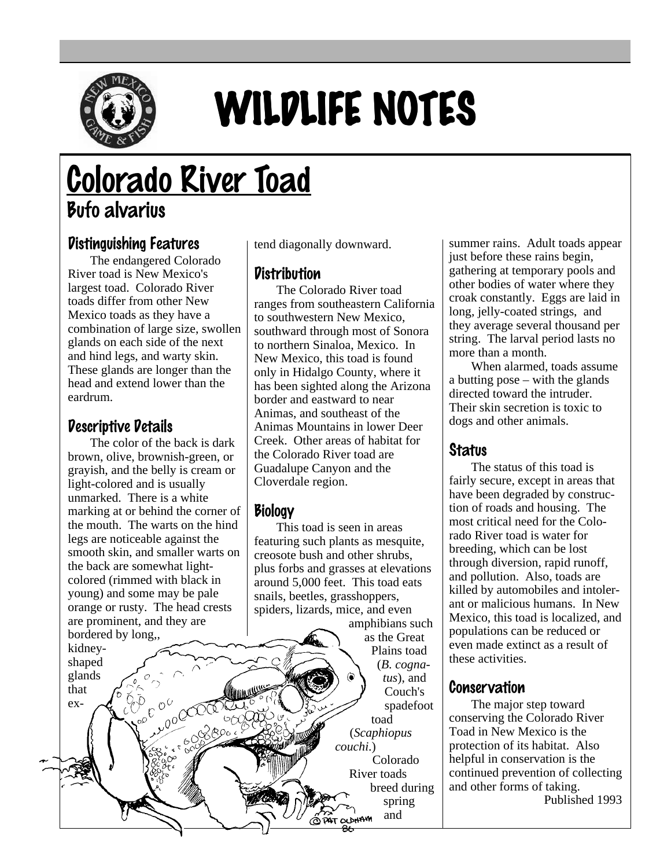

# WILDLIFE NOTES

## Colorado River Toad Bufo alvarius

### Distinguishing Features

The endangered Colorado River toad is New Mexico's largest toad. Colorado River toads differ from other New Mexico toads as they have a combination of large size, swollen glands on each side of the next and hind legs, and warty skin. These glands are longer than the head and extend lower than the eardrum.

#### Descriptive Details

The color of the back is dark brown, olive, brownish-green, or grayish, and the belly is cream or light-colored and is usually unmarked. There is a white marking at or behind the corner of the mouth. The warts on the hind legs are noticeable against the smooth skin, and smaller warts on the back are somewhat lightcolored (rimmed with black in young) and some may be pale orange or rusty. The head crests are prominent, and they are bordered by long,,

kidneyshaped glands that extend diagonally downward.

#### **Distribution**

The Colorado River toad ranges from southeastern California to southwestern New Mexico, southward through most of Sonora to northern Sinaloa, Mexico. In New Mexico, this toad is found only in Hidalgo County, where it has been sighted along the Arizona border and eastward to near Animas, and southeast of the Animas Mountains in lower Deer Creek. Other areas of habitat for the Colorado River toad are Guadalupe Canyon and the Cloverdale region.

#### **Biology**

This toad is seen in areas featuring such plants as mesquite, creosote bush and other shrubs, plus forbs and grasses at elevations around 5,000 feet. This toad eats snails, beetles, grasshoppers, spiders, lizards, mice, and even

amphibians such as the Great Plains toad (*B. cognatus*), and Couch's spadefoot toad (*Scaphiopus couchi*.) Colorado River toads breed during spring and **OLDHAM** 

summer rains. Adult toads appear just before these rains begin, gathering at temporary pools and other bodies of water where they croak constantly. Eggs are laid in long, jelly-coated strings, and they average several thousand per string. The larval period lasts no more than a month.

When alarmed, toads assume a butting pose – with the glands directed toward the intruder. Their skin secretion is toxic to dogs and other animals.

#### **Status**

The status of this toad is fairly secure, except in areas that have been degraded by construction of roads and housing. The most critical need for the Colorado River toad is water for breeding, which can be lost through diversion, rapid runoff, and pollution. Also, toads are killed by automobiles and intolerant or malicious humans. In New Mexico, this toad is localized, and populations can be reduced or even made extinct as a result of these activities.

#### Conservation

The major step toward conserving the Colorado River Toad in New Mexico is the protection of its habitat. Also helpful in conservation is the continued prevention of collecting and other forms of taking. Published 1993